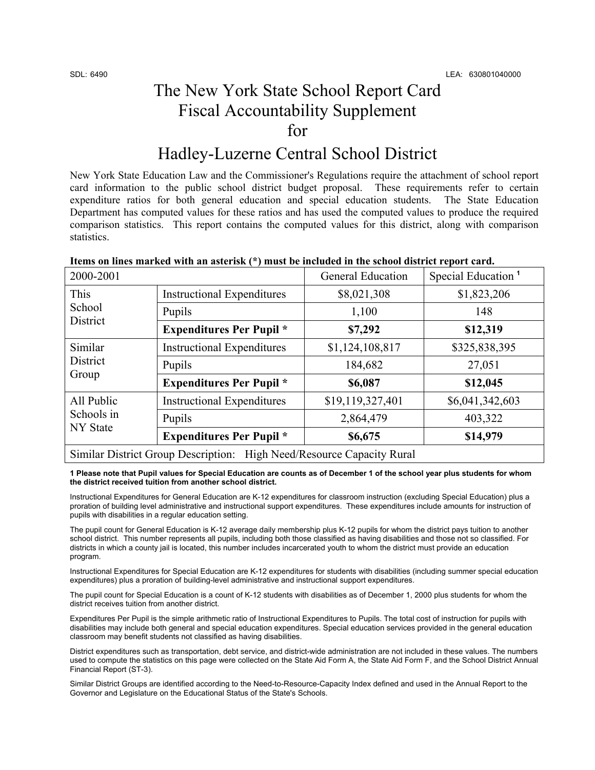$\mathsf{r}$ 

# The New York State School Report Card Fiscal Accountability Supplement for

# Hadley-Luzerne Central School District

New York State Education Law and the Commissioner's Regulations require the attachment of school report card information to the public school district budget proposal. These requirements refer to certain expenditure ratios for both general education and special education students. The State Education Department has computed values for these ratios and has used the computed values to produce the required comparison statistics. This report contains the computed values for this district, along with comparison statistics.

| Items on lines marked with an asterisk (*) must be included in the school district report card. |                          |                                |
|-------------------------------------------------------------------------------------------------|--------------------------|--------------------------------|
| 2000-2001                                                                                       | <b>General Education</b> | Special Education <sup>1</sup> |

| 2000-2001                                                             |                                   | <b>General Education</b> | Special Education <sup>1</sup> |  |
|-----------------------------------------------------------------------|-----------------------------------|--------------------------|--------------------------------|--|
| This<br>School<br>District                                            | <b>Instructional Expenditures</b> | \$8,021,308              | \$1,823,206                    |  |
|                                                                       | Pupils                            | 1,100                    | 148                            |  |
|                                                                       | <b>Expenditures Per Pupil</b> *   | \$7,292                  | \$12,319                       |  |
| Similar                                                               | <b>Instructional Expenditures</b> | \$1,124,108,817          | \$325,838,395                  |  |
| <b>District</b>                                                       | Pupils                            | 184,682                  | 27,051                         |  |
| Group                                                                 | <b>Expenditures Per Pupil</b> *   | \$6,087                  | \$12,045                       |  |
| All Public                                                            | <b>Instructional Expenditures</b> | \$19,119,327,401         | \$6,041,342,603                |  |
| Schools in<br>NY State                                                | Pupils                            | 2,864,479                | 403,322                        |  |
|                                                                       | <b>Expenditures Per Pupil</b> *   | \$6,675                  | \$14,979                       |  |
| Similar District Group Description: High Need/Resource Capacity Rural |                                   |                          |                                |  |

**1 Please note that Pupil values for Special Education are counts as of December 1 of the school year plus students for whom the district received tuition from another school district.** 

Instructional Expenditures for General Education are K-12 expenditures for classroom instruction (excluding Special Education) plus a proration of building level administrative and instructional support expenditures. These expenditures include amounts for instruction of pupils with disabilities in a regular education setting.

The pupil count for General Education is K-12 average daily membership plus K-12 pupils for whom the district pays tuition to another school district. This number represents all pupils, including both those classified as having disabilities and those not so classified. For districts in which a county jail is located, this number includes incarcerated youth to whom the district must provide an education program.

Instructional Expenditures for Special Education are K-12 expenditures for students with disabilities (including summer special education expenditures) plus a proration of building-level administrative and instructional support expenditures.

The pupil count for Special Education is a count of K-12 students with disabilities as of December 1, 2000 plus students for whom the district receives tuition from another district.

Expenditures Per Pupil is the simple arithmetic ratio of Instructional Expenditures to Pupils. The total cost of instruction for pupils with disabilities may include both general and special education expenditures. Special education services provided in the general education classroom may benefit students not classified as having disabilities.

District expenditures such as transportation, debt service, and district-wide administration are not included in these values. The numbers used to compute the statistics on this page were collected on the State Aid Form A, the State Aid Form F, and the School District Annual Financial Report (ST-3).

Similar District Groups are identified according to the Need-to-Resource-Capacity Index defined and used in the Annual Report to the Governor and Legislature on the Educational Status of the State's Schools.